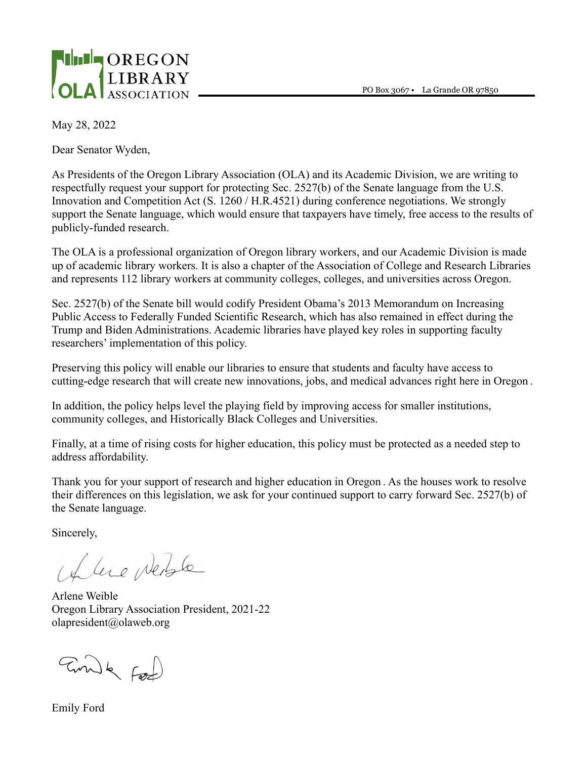PO Box 3067 • La Grande OR 97850



May 28, 2022

Dear Senator Wyden,

As Presidents of the Oregon Library Association (OLA) and its Academic Division, we are writing to respectfully request your support for protecting Sec. 2527(b) of the Senate language from the U.S. Innovation and Competition Act (S. 1260 / H.R.4521) during conference negotiations. We strongly support the Senate language, which would ensure that taxpayers have timely, free access to the results of publicly-funded research.

The OLA is a professional organization of Oregon library workers, and our Academic Division is made up of academic library workers. It is also a chapter of the Association of College and Research Libraries and represents 112 library workers at community colleges, colleges, and universities across Oregon.

Sec. 2527(b) of the Senate bill would codify President Obama's 2013 Memorandum on Increasing Public Access to Federally Funded Scientific Research, which has also remained in effect during the Trump and Biden Administrations. Academic libraries have played key roles in supporting faculty researchers' implementation of this policy.

Preserving this policy will enable our libraries to ensure that students and faculty have access to cutting-edge research that will create new innovations, jobs, and medical advances right here in Oregon .

In addition, the policy helps level the playing field by improving access for smaller institutions, community colleges, and Historically Black Colleges and Universities.

Finally, at a time of rising costs for higher education, this policy must be protected as a needed step to address affordability.

Thank you for your support of research and higher education in Oregon . As the houses work to resolve their differences on this legislation, we ask for your continued support to carry forward Sec. 2527(b) of the Senate language.

Sincerely,

I leve perble

Arlene Weible Oregon Library Association President, 2021-22 olapresident@olaweb.org

Emile Food

Emily Ford